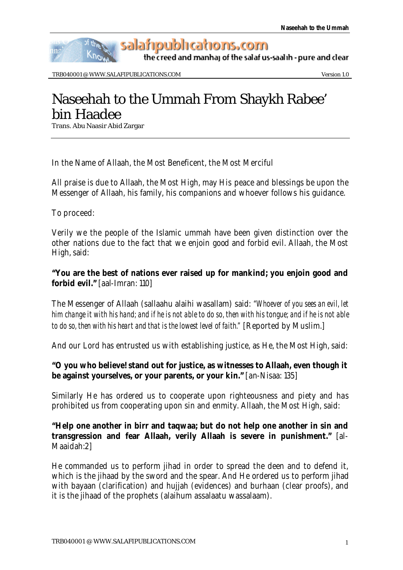

the creed and manhaj of the salaf us-saalih - pure and clear

TRB040001 @ WWW.SALAFIPUBLICATIONS.COM Version 1.0

# Naseehah to the Ummah From Shaykh Rabee' bin Haadee

Trans. Abu Naasir Abid Zargar

In the Name of Allaah, the Most Beneficent, the Most Merciful

All praise is due to Allaah, the Most High, may His peace and blessings be upon the Messenger of Allaah, his family, his companions and whoever follows his guidance.

To proceed:

Verily we the people of the Islamic ummah have been given distinction over the other nations due to the fact that we enjoin good and forbid evil. Allaah, the Most High, said:

# **"You are the best of nations ever raised up for mankind; you enjoin good and forbid evil."** [aal-Imran: 110]

The Messenger of Allaah (sallaahu alaihi wasallam) said: *"Whoever of you sees an evil, let him change it with his hand; and if he is not able to do so, then with his tongue; and if he is not able to do so, then with his heart and that is the lowest level of faith."* [Reported by Muslim.]

And our Lord has entrusted us with establishing justice, as He, the Most High, said:

### **"O you who believe! stand out for justice, as witnesses to Allaah, even though it be against yourselves, or your parents, or your kin."** [an-Nisaa: 135]

Similarly He has ordered us to cooperate upon righteousness and piety and has prohibited us from cooperating upon sin and enmity. Allaah, the Most High, said:

### **"Help one another in birr and taqwaa; but do not help one another in sin and transgression and fear Allaah, verily Allaah is severe in punishment."** [al-Maaidah:2]

He commanded us to perform jihad in order to spread the deen and to defend it, which is the jihaad by the sword and the spear. And He ordered us to perform jihad with bayaan (clarification) and hujjah (evidences) and burhaan (clear proofs), and it is the jihaad of the prophets (alaihum assalaatu wassalaam).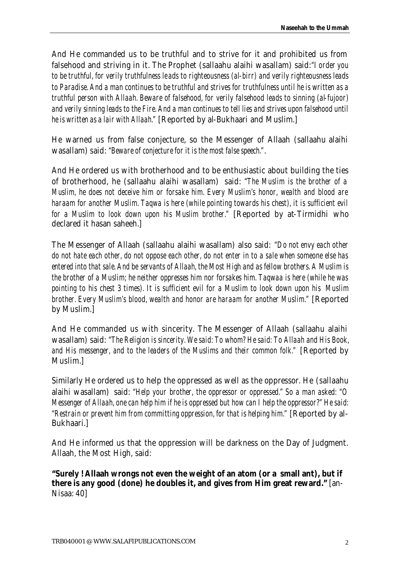And He commanded us to be truthful and to strive for it and prohibited us from falsehood and striving in it. The Prophet (sallaahu alaihi wasallam) said:*"I order you to be truthful, for verily truthfulness le ads to righteousness (al-birr) and verily righteousness leads to Paradise. And a man continues to be truthful and strives for truthfulness until he is written as a truthful person with Allaah. Beware of falsehood, for verily falsehood leads to sinning (al-fujoor) and verily sinning leads to the Fire. And a man continues to tell lies and strives upon falsehood until he is written as a lair with Allaah."* [Reported by al-Bukhaari and Muslim.]

He warned us from false conjecture, so the Messenger of Allaah (sallaahu alaihi wasallam) said: *"Beware of conjecture for it is the most false speech."*.

And He ordered us with brotherhood and to be enthusiastic about building the ties of brotherhood, he (sallaahu alaihi wasallam) said: *"The Muslim is the brother of a Muslim, he does not deceive him or forsake him. Every Muslim's honor, wealth and blood are haraam for another Muslim. Taqwa is here (while pointing towards his chest), it is sufficient evil for a Muslim to look down upon his Muslim brother."* [Reported by at-Tirmidhi who declared it hasan saheeh.]

The Messenger of Allaah (sallaahu alaihi wasallam) also said: *"Do not envy each other do not hate each other, do not oppose each other, do not enter in to a sale when someone else has entered into that sale. And be servants of Allaah, the Most High and as fellow brothers. A Muslim is the brother of a Muslim; he neither oppresses him nor forsakes him. Taqwaa is here (while he was pointing to his chest 3 times). It is sufficient evil for a Muslim to look down upon his Muslim brother. Every Muslim's blood, wealth and honor are haraam for another Muslim."* [Reported by Muslim.]

And He commanded us with sincerity. The Messenger of Allaah (sallaahu alaihi wasallam) said: *"The Religion is sincerity. We said: To whom? He said: To Allaah and His Book, and His messenger, and to the leaders of the Muslims and their common folk."* [Reported by Muslim.]

Similarly He ordered us to help the oppressed as well as the oppressor. He (sallaahu alaihi wasallam) said: *"Help your brother, the oppressor or oppressed." So a man asked: "O Messenger of Allaah, one can help him if he is oppressed but how can I help the oppressor?" He said: "Restrain or prevent him from committing oppression, for that is helping him."* [Reported by al-Bukhaari.]

And He informed us that the oppression will be darkness on the Day of Judgment. Allaah, the Most High, said:

**"Surely ! Allaah wrongs not even the weight of an atom (or a small ant), but if there is any good (done) he doubles it, and gives from Him great reward."** [an-Nisaa: 40]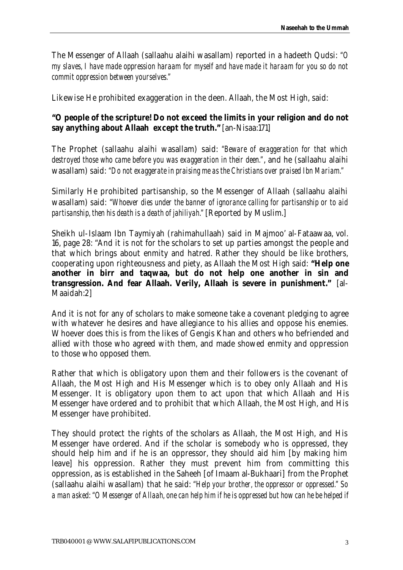The Messenger of Allaah (sallaahu alaihi wasallam) reported in a hadeeth Qudsi: *"O my slaves, I have made oppression haraam for myself and have made it haraam for you so do not commit oppression between yourselves."* 

Likewise He prohibited exaggeration in the deen. Allaah, the Most High, said:

# **"O people of the scripture! Do not exceed the limits in your religion and do not say anything about Allaah except the truth."** [an-Nisaa:171]

The Prophet (sallaahu alaihi wasallam) said: *"Beware of exaggeration for that which destroyed those who came before you was exaggeration in their deen."*, and he (sallaahu alaihi wasallam) said: *"Do not exaggerate in praising me as the Christians over praised Ibn Mariam."*

Similarly He prohibited partisanship, so the Messenger of Allaah (sallaahu alaihi wasallam) said: *"Whoever dies under the banner of ignorance calling for partisanship or to aid partisanship, then his death is a death of jahiliyah."* [Reported by Muslim.]

Sheikh ul-Islaam Ibn Taymiyah (rahimahullaah) said in Majmoo' al-Fataawaa, vol. 16, page 28: "And it is not for the scholars to set up parties amongst the people and that which brings about enmity and hatred. Rather they should be like brothers, cooperating upon righteousness and piety, as Allaah the Most High said: **"Help one another in birr and taqwaa, but do not help one another in sin and transgression. And fear Allaah. Verily, Allaah is severe in punishment."** [al-Maaidah:2]

And it is not for any of scholars to make someone take a covenant pledging to agree with whatever he desires and have allegiance to his allies and oppose his enemies. Whoever does this is from the likes of Gengis Khan and others who befriended and allied with those who agreed with them, and made showed enmity and oppression to those who opposed them.

Rather that which is obligatory upon them and their followers is the covenant of Allaah, the Most High and His Messenger which is to obey only Allaah and His Messenger. It is obligatory upon them to act upon that which Allaah and His Messenger have ordered and to prohibit that which Allaah, the Most High, and His Messenger have prohibited.

They should protect the rights of the scholars as Allaah, the Most High, and His Messenger have ordered. And if the scholar is somebody who is oppressed, they should help him and if he is an oppressor, they should aid him [by making him leave] his oppression. Rather they must prevent him from committing this oppression, as is established in the Saheeh [of Imaam al-Bukhaari] from the Prophet (sallaahu alaihi wasallam) that he said: *"Help your brother, the oppressor or oppressed." So a man asked: "O Messenger of Allaah, one can help him if he is oppressed but how can he be helped if*